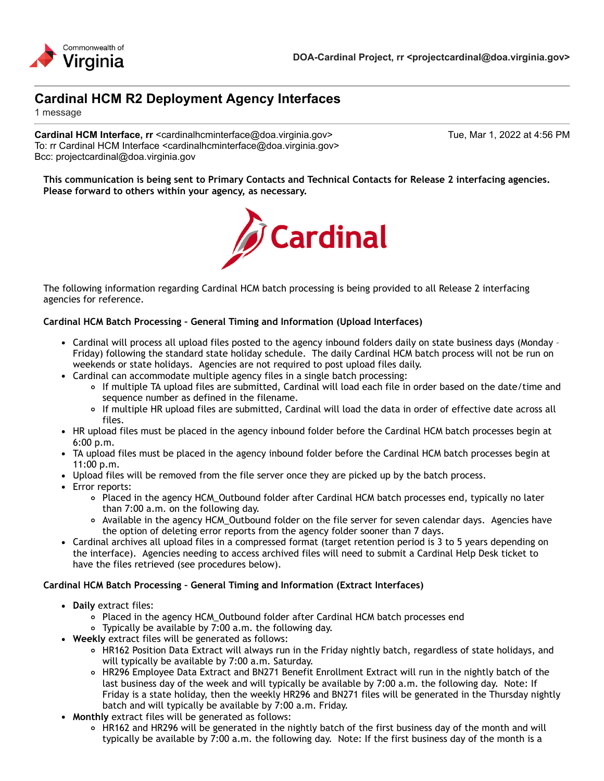# **Cardinal HCM R2 Deployment Agency Interfaces**

1 message

**Cardinal HCM Interface, rr** <cardinalhcminterface@doa.virginia.gov> Tue, Mar 1, 2022 at 4:56 PM To: rr Cardinal HCM Interface <cardinalhcminterface@doa.virginia.gov> Bcc: projectcardinal@doa.virginia.gov

**This communication is being sent to Primary Contacts and Technical Contacts for Release 2 interfacing agencies. Please forward to others within your agency, as necessary.**



The following information regarding Cardinal HCM batch processing is being provided to all Release 2 interfacing agencies for reference.

#### **Cardinal HCM Batch Processing – General Timing and Information (Upload Interfaces)**

- Cardinal will process all upload files posted to the agency inbound folders daily on state business days (Monday Friday) following the standard state holiday schedule. The daily Cardinal HCM batch process will not be run on weekends or state holidays. Agencies are not required to post upload files daily.
- Cardinal can accommodate multiple agency files in a single batch processing:
	- If multiple TA upload files are submitted, Cardinal will load each file in order based on the date/time and sequence number as defined in the filename.
	- If multiple HR upload files are submitted, Cardinal will load the data in order of effective date across all files.
- HR upload files must be placed in the agency inbound folder before the Cardinal HCM batch processes begin at 6:00 p.m.
- TA upload files must be placed in the agency inbound folder before the Cardinal HCM batch processes begin at 11:00 p.m.
- Upload files will be removed from the file server once they are picked up by the batch process.
- Error reports:
	- Placed in the agency HCM\_Outbound folder after Cardinal HCM batch processes end, typically no later than 7:00 a.m. on the following day.
	- Available in the agency HCM\_Outbound folder on the file server for seven calendar days. Agencies have the option of deleting error reports from the agency folder sooner than 7 days.
- Cardinal archives all upload files in a compressed format (target retention period is 3 to 5 years depending on the interface). Agencies needing to access archived files will need to submit a Cardinal Help Desk ticket to have the files retrieved (see procedures below).

#### **Cardinal HCM Batch Processing – General Timing and Information (Extract Interfaces)**

- **Daily** extract files:
	- Placed in the agency HCM\_Outbound folder after Cardinal HCM batch processes end
	- Typically be available by 7:00 a.m. the following day.
- **Weekly** extract files will be generated as follows:
	- o HR162 Position Data Extract will always run in the Friday nightly batch, regardless of state holidays, and will typically be available by 7:00 a.m. Saturday.
	- HR296 Employee Data Extract and BN271 Benefit Enrollment Extract will run in the nightly batch of the last business day of the week and will typically be available by 7:00 a.m. the following day. Note: If Friday is a state holiday, then the weekly HR296 and BN271 files will be generated in the Thursday nightly batch and will typically be available by 7:00 a.m. Friday.
- **Monthly** extract files will be generated as follows:
	- o HR162 and HR296 will be generated in the nightly batch of the first business day of the month and will typically be available by 7:00 a.m. the following day. Note: If the first business day of the month is a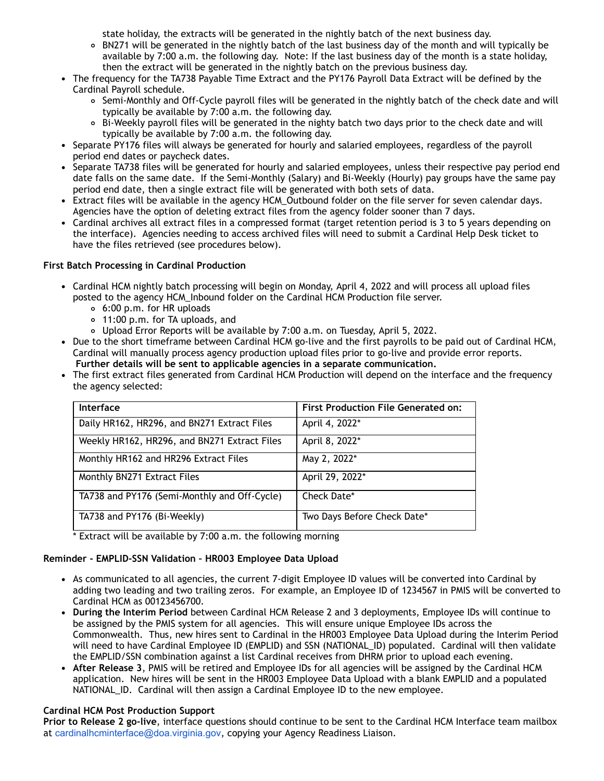state holiday, the extracts will be generated in the nightly batch of the next business day.

- BN271 will be generated in the nightly batch of the last business day of the month and will typically be available by 7:00 a.m. the following day. Note: If the last business day of the month is a state holiday, then the extract will be generated in the nightly batch on the previous business day.
- The frequency for the TA738 Payable Time Extract and the PY176 Payroll Data Extract will be defined by the Cardinal Payroll schedule.
	- Semi-Monthly and Off-Cycle payroll files will be generated in the nightly batch of the check date and will typically be available by 7:00 a.m. the following day.
	- Bi-Weekly payroll files will be generated in the nighty batch two days prior to the check date and will  $\circ$ typically be available by 7:00 a.m. the following day.
- Separate PY176 files will always be generated for hourly and salaried employees, regardless of the payroll period end dates or paycheck dates.
- Separate TA738 files will be generated for hourly and salaried employees, unless their respective pay period end date falls on the same date. If the Semi-Monthly (Salary) and Bi-Weekly (Hourly) pay groups have the same pay period end date, then a single extract file will be generated with both sets of data.
- Extract files will be available in the agency HCM\_Outbound folder on the file server for seven calendar days. Agencies have the option of deleting extract files from the agency folder sooner than 7 days.
- Cardinal archives all extract files in a compressed format (target retention period is 3 to 5 years depending on the interface). Agencies needing to access archived files will need to submit a Cardinal Help Desk ticket to have the files retrieved (see procedures below).

## **First Batch Processing in Cardinal Production**

- Cardinal HCM nightly batch processing will begin on Monday, April 4, 2022 and will process all upload files posted to the agency HCM\_Inbound folder on the Cardinal HCM Production file server.
	- 6:00 p.m. for HR uploads
	- 11:00 p.m. for TA uploads, and
	- Upload Error Reports will be available by 7:00 a.m. on Tuesday, April 5, 2022.
- Due to the short timeframe between Cardinal HCM go-live and the first payrolls to be paid out of Cardinal HCM, Cardinal will manually process agency production upload files prior to go-live and provide error reports. **Further details will be sent to applicable agencies in a separate communication.**
- The first extract files generated from Cardinal HCM Production will depend on the interface and the frequency the agency selected:

| Interface                                    | <b>First Production File Generated on:</b> |
|----------------------------------------------|--------------------------------------------|
| Daily HR162, HR296, and BN271 Extract Files  | April 4, 2022*                             |
| Weekly HR162, HR296, and BN271 Extract Files | April 8, 2022*                             |
| Monthly HR162 and HR296 Extract Files        | May 2, 2022*                               |
| Monthly BN271 Extract Files                  | April 29, 2022*                            |
| TA738 and PY176 (Semi-Monthly and Off-Cycle) | Check Date*                                |
| TA738 and PY176 (Bi-Weekly)                  | Two Days Before Check Date*                |

\* Extract will be available by 7:00 a.m. the following morning

## **Reminder - EMPLID-SSN Validation – HR003 Employee Data Upload**

- As communicated to all agencies, the current 7-digit Employee ID values will be converted into Cardinal by adding two leading and two trailing zeros. For example, an Employee ID of 1234567 in PMIS will be converted to Cardinal HCM as 00123456700.
- **During the Interim Period** between Cardinal HCM Release 2 and 3 deployments, Employee IDs will continue to be assigned by the PMIS system for all agencies. This will ensure unique Employee IDs across the Commonwealth. Thus, new hires sent to Cardinal in the HR003 Employee Data Upload during the Interim Period will need to have Cardinal Employee ID (EMPLID) and SSN (NATIONAL\_ID) populated. Cardinal will then validate the EMPLID/SSN combination against a list Cardinal receives from DHRM prior to upload each evening.
- **After Release 3**, PMIS will be retired and Employee IDs for all agencies will be assigned by the Cardinal HCM application. New hires will be sent in the HR003 Employee Data Upload with a blank EMPLID and a populated NATIONAL\_ID. Cardinal will then assign a Cardinal Employee ID to the new employee.

## **Cardinal HCM Post Production Support**

**Prior to Release 2 go-live**, interface questions should continue to be sent to the Cardinal HCM Interface team mailbox at [cardinalhcminterface@doa.virginia.gov](mailto:cardinalhcminterface@doa.virginia.gov), copying your Agency Readiness Liaison.